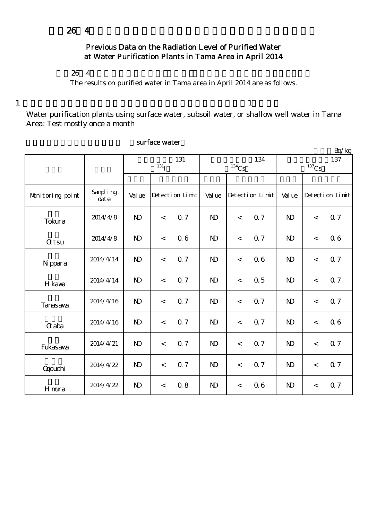## Previous Data on the Radiation Level of Purified Water at Water Purification Plants in Tama Area in April 2014

 $264$ 

The results on purified water in Tama area in April 2014 are as follows.

 $1$ 

 $Bq/kg$ 

Water purification plants using surface water, subsoil water, or shallow well water in Tama Area: Test mostly once a month

|                  |                  | 131<br>$131$ <sub>I</sub> |       |                 |                | $^{134}\mathrm{Cs}$ | 134             | 137<br>$137$ Cs |       |                 |
|------------------|------------------|---------------------------|-------|-----------------|----------------|---------------------|-----------------|-----------------|-------|-----------------|
|                  |                  |                           |       |                 |                |                     |                 |                 |       |                 |
| Monitoring point | Sampling<br>date | Val ue                    |       | Detection Limit | Val ue         |                     | Detection Limit | Val ue          |       | Detection Limit |
| Tokura           | 2014/4/8         | $\mathbf{D}$              | $\lt$ | 0.7             | $\mathbf{D}$   | $\,<$               | 0.7             | $\mathbf{D}$    | $\lt$ | 0.7             |
| <b>Qtsu</b>      | 2014/4/8         | $\mathbf{D}$              | $\,<$ | 0.6             | $\mathbf{D}$   | $\,<$               | 0.7             | $\mathbf{D}$    | $\,<$ | 06              |
| N ppara          | 2014/4/14        | $\mathbf{D}$              | $\lt$ | 0.7             | $\mathbf{D}$   | $\lt$               | 06              | $\mathbf{D}$    | $\lt$ | Q 7             |
| H kawa           | 2014/4/14        | $\mathbf{D}$              | $\lt$ | 0.7             | $\mathbf{D}$   | $\,<$               | 0.5             | N <sub>D</sub>  | $\lt$ | Q 7             |
| <b>Tanasava</b>  | 2014/4/16        | $\mathbf{N}$              | $\lt$ | 0.7             | $\mathbf{D}$   | $\lt$               | 0.7             | $\mathbf{N}$    | $\lt$ | Q 7             |
| <b>G</b> aba     | 2014/4/16        | $\mathbf{D}$              | $\,<$ | 0.7             | $\mathbf{D}$   | $\,<$               | <b>Q</b> 7      | N <sub>D</sub>  | $\,<$ | 06              |
| Fukasawa         | 2014/4/21        | $\mathbf{N}$              | $\lt$ | 0.7             | N <sub>D</sub> | $\lt$               | 0.7             | N <sub>D</sub>  | $\lt$ | 0.7             |
| <b>Ogouchi</b>   | 2014/4/22        | $\mathbf{D}$              | $\lt$ | 0.7             | $\mathbf{D}$   | $\lt$               | 0.7             | N <sub>D</sub>  | $\,<$ | Q 7             |
| Hmura            | 2014/4/22        | $\mathbf{D}$              | $\,<$ | 0.8             | $\mathbf{D}$   | $\,<$               | 06              | $\mathbf{D}$    | $\lt$ | 0.7             |

### surface water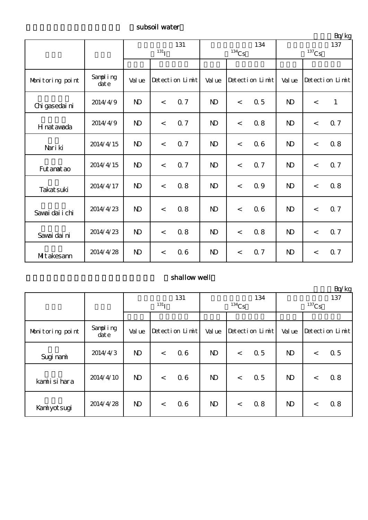# subsoil water

|                  |                  | 131<br>$131$ <sub>I</sub> |       |                 |                | $134$ Cs | 134             | $-4.5$<br>137<br>$137$ Cs |                          |                 |
|------------------|------------------|---------------------------|-------|-----------------|----------------|----------|-----------------|---------------------------|--------------------------|-----------------|
|                  |                  |                           |       |                 |                |          |                 |                           |                          |                 |
| Monitoring point | Sampling<br>date | Val ue                    |       | Detection Limit | Val ue         |          | Detection Limit | Val ue                    |                          | Detection Limit |
| Chi gasedai ni   | 2014/4/9         | $\mathbf{D}$              | $\lt$ | 0.7             | N <sub>D</sub> | $\lt$    | 0.5             | $\mathbf{D}$              | $\overline{\phantom{a}}$ | $\mathbf{1}$    |
| H nat awada      | 2014/4/9         | $\mathbf{D}$              | $\lt$ | 0.7             | $\mathbf{D}$   | $\,<$    | 0.8             | N <sub>D</sub>            | $\lt$                    | 0.7             |
| Nari ki          | 2014/4/15        | $\mathbf{D}$              | $\lt$ | 0.7             | $\mathbf{D}$   | $\prec$  | 06              | N <sub>D</sub>            | $\lt$                    | 0.8             |
| Fut anat ao      | 2014/4/15        | $\mathbf{D}$              | $\lt$ | 0.7             | N <sub>D</sub> | $\,<$    | 0.7             | N <sub>D</sub>            | $\lt$                    | 0.7             |
| Takat suki       | 2014/4/17        | $\mathbf{D}$              | $\lt$ | 0.8             | N <sub>D</sub> | $\,<$    | 09              | N <sub>D</sub>            | $\prec$                  | 0.8             |
| Savai dai i chi  | 2014/4/23        | $\mathbf{D}$              | $\lt$ | 0.8             | $\mathbf{D}$   | $\prec$  | 06              | $\mathbf{N}$              | $\overline{\phantom{a}}$ | Q 7             |
| Savai dai ni     | 2014/4/23        | $\mathbf{D}$              | $\lt$ | 0.8             | $\mathbf{D}$   | $\lt$    | 0.8             | N <sub>D</sub>            | $\lt$                    | 0.7             |
| Mitakesann       | 2014/4/28        | $\mathbf{D}$              | $\lt$ | 0.6             | $\mathbf{D}$   | $\,<$    | 0.7             | $\mathbf{D}$              | $\lt$                    | 0.7             |

## shallow well

|                  |                      |                  |       |                 |              |          |                 |              |         | Bq/kg           |
|------------------|----------------------|------------------|-------|-----------------|--------------|----------|-----------------|--------------|---------|-----------------|
|                  |                      | 131              |       |                 |              |          | 134             | 137          |         |                 |
|                  |                      | 131 <sub>I</sub> |       |                 |              | $134$ Cs |                 | $137$ Cs     |         |                 |
|                  |                      |                  |       |                 |              |          |                 |              |         |                 |
| Monitoring point | Sampling<br>$\det e$ | Val ue           |       | Detection Limit | Val ue       |          | Detection Limit | Val ue       |         | Detection Limit |
| Sugi nami        | 2014/4/3             | $\mathbf{D}$     | $\,<$ | 0.6             | $\mathbf{D}$ | $\,<$    | 0.5             | $\mathbf{D}$ | $\,<\,$ | 0.5             |
| kamiisi hara     | 2014/4/10            | $\mathbf{D}$     | $\,<$ | 0.6             | $\mathbf{D}$ | $\lt$    | 0.5             | $\mathbf{D}$ | $\lt$   | 0.8             |
| Kaniyotsugi      | 2014/4/28            | $\mathbf{D}$     | $\,<$ | 0.6             | $\mathbf{D}$ | $\lt$    | 0.8             | $\mathbf{D}$ | $\,<\,$ | 0.8             |

単位:Bq/kg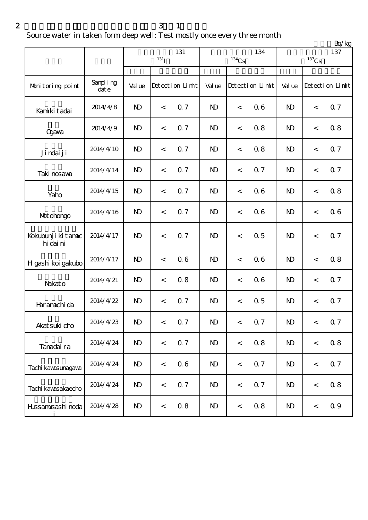$2 \t 3 \t 1$ 

Source water in taken form deep well: Test mostly once every three month

|                                  |                  |              |                    |                 |                |                     |                 |                | Bq/kg               |                 |
|----------------------------------|------------------|--------------|--------------------|-----------------|----------------|---------------------|-----------------|----------------|---------------------|-----------------|
|                                  |                  |              | $131$ <sup>T</sup> | 131             |                | $^{134}\mathrm{Cs}$ | 134             |                | $^{137}\mathrm{Cs}$ | 137             |
| Monitoring point                 | Sampling<br>date | Val ue       |                    | Detection Limit | Val ue         |                     | Detection Limit | Val ue         |                     | Detection Limit |
| Kanikitadai                      | 2014/4/8         | $\mathbf{D}$ | $\,<$              | 0.7             | N <sub>D</sub> | $\lt$               | 06              | N <sub>D</sub> | $\,<\,$             | 0.7             |
| <b>Ogava</b>                     | 2014/4/9         | $\mathbf{D}$ | $\,<\,$            | 0.7             | $\mathbf{D}$   | $\,<$               | 0.8             | $\mathbf{N}$   | $\,<\,$             | 0.8             |
| Ji ndai ji                       | 2014/4/10        | $\mathbf{D}$ | $\,<$              | 0.7             | $\mathbf{D}$   | $\,<$               | 0.8             | N <sub>D</sub> | $\,<$               | 0.7             |
| Taki nosava                      | 2014/4/14        | $\mathbf{D}$ | $\,<\,$            | 0.7             | N <sub>D</sub> | $\,<\,$             | <b>Q</b> 7      | $\mathbf{D}$   | $\,<\,$             | 0.7             |
| Yaho                             | 2014/4/15        | $\mathbf{D}$ | $\,<\,$            | 0.7             | N <sub>D</sub> | $\,<$               | 06              | $\mathbf{N}$   | $\,<\,$             | 0.8             |
| Mot ohongo                       | 2014/4/16        | $\mathbf{D}$ | $\,<$              | 0.7             | N <sub>D</sub> | $\,<$               | 06              | $\mathbf{D}$   | $\,<\,$             | 06              |
| Kokubunj i ki tanac<br>hi dai ni | 2014/4/17        | $\mathbf{D}$ | $\,<$              | 0.7             | N <sub>D</sub> | $\,<$               | 0.5             | N <sub>D</sub> | $\,<\,$             | 0.7             |
| H gashi koi gakubo               | 2014/4/17        | $\mathbf{D}$ | $\,<$              | 0.6             | N <sub>D</sub> | $\,<$               | 06              | N <sub>D</sub> | $\,<\,$             | 0.8             |
| Nakato                           | 2014/4/21        | $\mathbf{D}$ | $\,<\,$            | 0.8             | $\mathbf{D}$   | $\,<$               | 0.6             | $\mathbf{D}$   | $\,<\,$             | 0.7             |
| Haranachi da                     | 2014/4/22        | $\mathbf{D}$ | $\,<$              | 0.7             | $\mathbf{D}$   | $\,<\,$             | 0.5             | $\mathbf{D}$   | $\,<\,$             | 0.7             |
| Akat suki cho                    | 2014/4/23        | $\mathbf{D}$ | $\,<$              | 0.7             | $\mathbf{D}$   | $\,<\,$             | 0.7             | $\mathbf{D}$   | $\,<$               | 0.7             |
| Tanadaira                        | 2014/4/24        | $\mathbf{D}$ | $\,<$              | 0.7             | $\mathbf{D}$   | $\,<$               | 0.8             | N <sub>D</sub> | $\,<$               | 0.8             |
| Tachi kawasunagawa               | 2014/4/24        | $\mathbf{D}$ | $\,<$              | 06              | N <sub>D</sub> | $\,<$               | 0.7             | N <sub>D</sub> | $\,<$               | 0.7             |
| Tachi kawasakaecho               | 2014/4/24        | $\mathbf{D}$ | $\,<$              | 0.7             | N <sub>D</sub> | $\,<$               | 0.7             | N <sub>D</sub> | $\,<$               | 0.8             |
| Hissannisashi noda               | 2014/4/28        | $\mathbf{D}$ | $\,<$              | 0.8             | $\mathbf{D}$   | $\,<$               | 0.8             | $\mathbf{D}$   | $\,<$               | 0.9             |